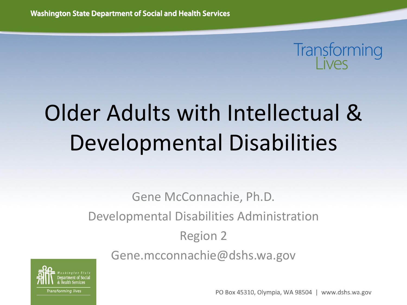# Transforming

## Older Adults with Intellectual & Developmental Disabilities

Gene McConnachie, Ph.D. Developmental Disabilities Administration Region 2 Gene.mcconnachie@dshs.wa.gov



PO Box 45310, Olympia, WA 98504 | www.dshs.wa.gov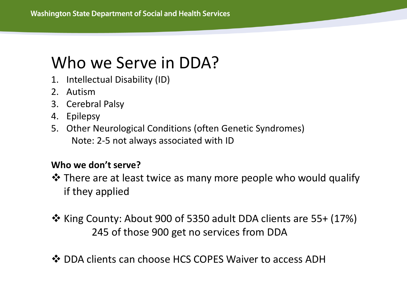### Who we Serve in DDA?

- 1. Intellectual Disability (ID)
- 2. Autism
- 3. Cerebral Palsy
- 4. Epilepsy
- 5. Other Neurological Conditions (often Genetic Syndromes) Note: 2-5 not always associated with ID

#### **Who we don't serve?**

- There are at least twice as many more people who would qualify if they applied
- $\clubsuit$  King County: About 900 of 5350 adult DDA clients are 55+ (17%) 245 of those 900 get no services from DDA
- ❖ DDA clients can choose HCS COPES Waiver to access ADH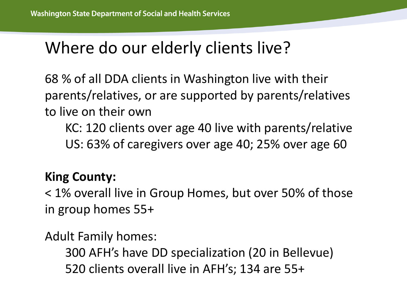### Where do our elderly clients live?

68 % of all DDA clients in Washington live with their parents/relatives, or are supported by parents/relatives to live on their own

KC: 120 clients over age 40 live with parents/relative US: 63% of caregivers over age 40; 25% over age 60

#### **King County:**

< 1% overall live in Group Homes, but over 50% of those in group homes 55+

Adult Family homes:

300 AFH's have DD specialization (20 in Bellevue) 520 clients overall live in AFH's; 134 are 55+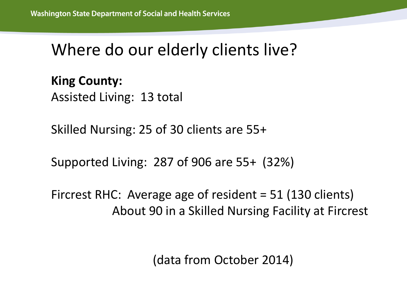#### Where do our elderly clients live?

#### **King County:**

Assisted Living: 13 total

Skilled Nursing: 25 of 30 clients are 55+

Supported Living: 287 of 906 are 55+ (32%)

Fircrest RHC: Average age of resident = 51 (130 clients) About 90 in a Skilled Nursing Facility at Fircrest

(data from October 2014)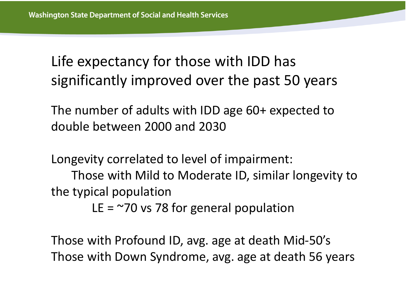Life expectancy for those with IDD has significantly improved over the past 50 years

The number of adults with IDD age 60+ expected to double between 2000 and 2030

Longevity correlated to level of impairment:

Those with Mild to Moderate ID, similar longevity to the typical population

LE  $=$   $\approx$ 70 vs 78 for general population

Those with Profound ID, avg. age at death Mid-50's Those with Down Syndrome, avg. age at death 56 years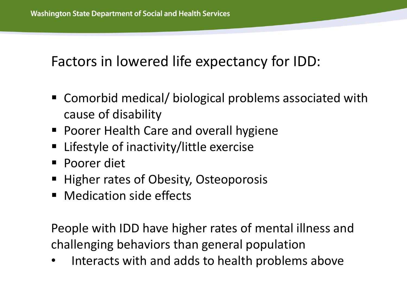#### Factors in lowered life expectancy for IDD:

- Comorbid medical/ biological problems associated with cause of disability
- Poorer Health Care and overall hygiene
- Lifestyle of inactivity/little exercise
- Poorer diet
- Higher rates of Obesity, Osteoporosis
- **Medication side effects**

People with IDD have higher rates of mental illness and challenging behaviors than general population

• Interacts with and adds to health problems above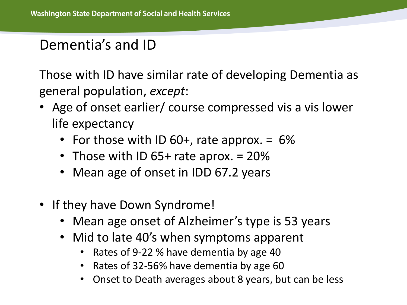#### Dementia's and ID

Those with ID have similar rate of developing Dementia as general population, *except*:

- Age of onset earlier/ course compressed vis a vis lower life expectancy
	- For those with ID 60+, rate approx.  $= 6\%$
	- Those with ID 65+ rate aprox. = 20%
	- Mean age of onset in IDD 67.2 years
- If they have Down Syndrome!
	- Mean age onset of Alzheimer's type is 53 years
	- Mid to late 40's when symptoms apparent
		- Rates of 9-22 % have dementia by age 40
		- Rates of 32-56% have dementia by age 60
		- Onset to Death averages about 8 years, but can be less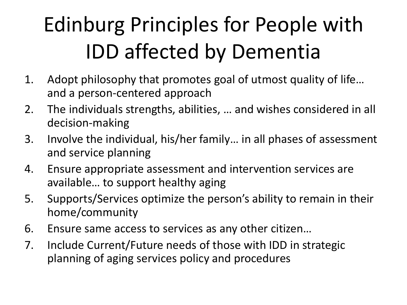## Edinburg Principles for People with IDD affected by Dementia

- 1. Adopt philosophy that promotes goal of utmost quality of life… and a person-centered approach
- 2. The individuals strengths, abilities, … and wishes considered in all decision-making
- 3. Involve the individual, his/her family… in all phases of assessment and service planning
- 4. Ensure appropriate assessment and intervention services are available… to support healthy aging
- 5. Supports/Services optimize the person's ability to remain in their home/community
- 6. Ensure same access to services as any other citizen…
- 7. Include Current/Future needs of those with IDD in strategic planning of aging services policy and procedures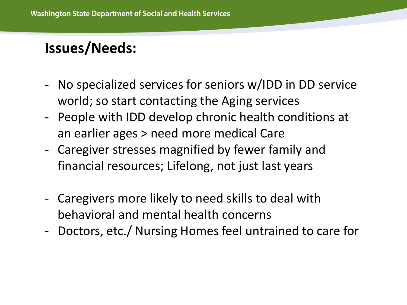#### **Issues/Needs:**

- No specialized services for seniors w/IDD in DD service world; so start contacting the Aging services
- People with IDD develop chronic health conditions at an earlier ages > need more medical Care
- Caregiver stresses magnified by fewer family and financial resources; Lifelong, not just last years
- Caregivers more likely to need skills to deal with behavioral and mental health concerns
- Doctors, etc./ Nursing Homes feel untrained to care for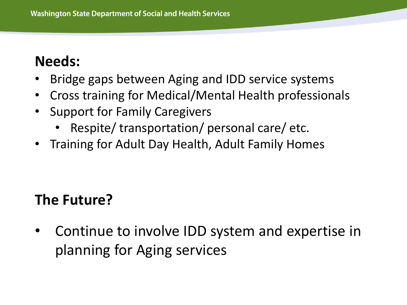#### **Needs:**

- Bridge gaps between Aging and IDD service systems
- Cross training for Medical/Mental Health professionals
- Support for Family Caregivers
	- Respite/ transportation/ personal care/ etc.
- Training for Adult Day Health, Adult Family Homes

#### **The Future?**

• Continue to involve IDD system and expertise in planning for Aging services